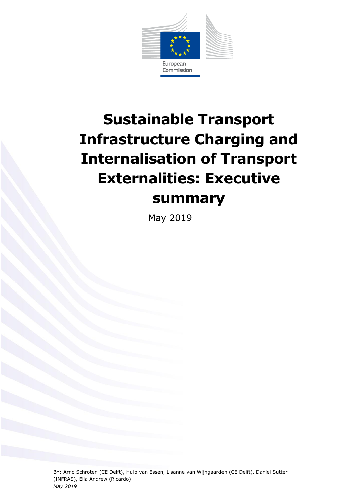

# **Sustainable Transport Infrastructure Charging and Internalisation of Transport Externalities: Executive summary**

May 2019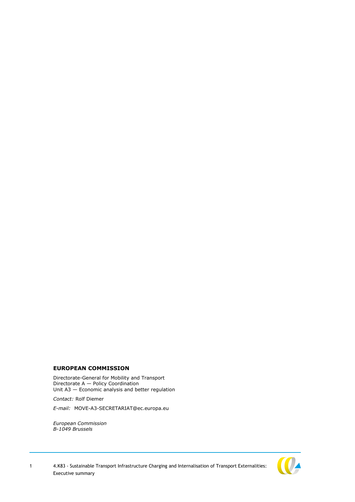#### **EUROPEAN COMMISSION**

Directorate-General for Mobility and Transport Directorate A — Policy Coordination Unit A3 — Economic analysis and better regulation

*Contact:* Rolf Diemer

*E-mail:* MOVE-A3-SECRETARIAT@ec.europa.eu

*European Commission B-1049 Brussels*

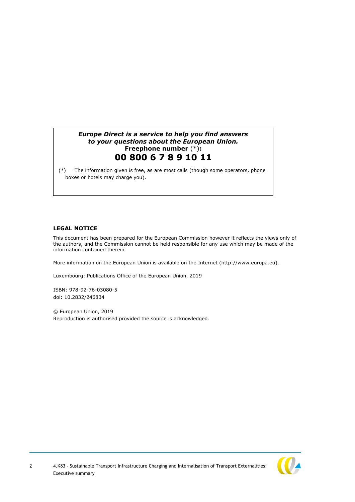## *Europe Direct is a service to help you find answers to your questions about the European Union.* **Freephone number** (\*)**: 00 800 6 7 8 9 10 11**

[\(\\*\)](http://europa.eu.int/citizensrights/signpost/about/index_en.htm#note1#note1) The information given is free, as are most calls (though some operators, phone boxes or hotels may charge you).

#### **LEGAL NOTICE**

This document has been prepared for the European Commission however it reflects the views only of the authors, and the Commission cannot be held responsible for any use which may be made of the information contained therein.

More information on the European Union is available on the Internet (http://www.europa.eu).

Luxembourg: Publications Office of the European Union, 2019

ISBN: 978-92-76-03080-5 doi: 10.2832/246834

© European Union, 2019 Reproduction is authorised provided the source is acknowledged.

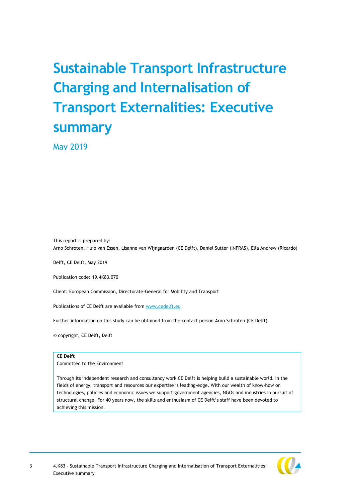# **Sustainable Transport Infrastructure Charging and Internalisation of Transport Externalities: Executive summary**

May 2019

This report is prepared by: Arno Schroten, Huib van Essen, Lisanne van Wijngaarden (CE Delft), Daniel Sutter (INFRAS), Ella Andrew (Ricardo)

Delft, CE Delft, May 2019

Publication code: 19.4K83.070

Client: European Commission, Directorate-General for Mobility and Transport

Publications of CE Delft are available from [www.cedelft.eu](http://www.cedelft.eu/)

Further information on this study can be obtained from the contact person Arno Schroten (CE Delft)

© copyright, CE Delft, Delft

#### **CE Delft**

Committed to the Environment

Through its independent research and consultancy work CE Delft is helping build a sustainable world. In the fields of energy, transport and resources our expertise is leading-edge. With our wealth of know-how on technologies, policies and economic issues we support government agencies, NGOs and industries in pursuit of structural change. For 40 years now, the skills and enthusiasm of CE Delft's staff have been devoted to achieving this mission.

3 4.K83 - Sustainable Transport Infrastructure Charging and Internalisation of Transport Externalities: Executive summary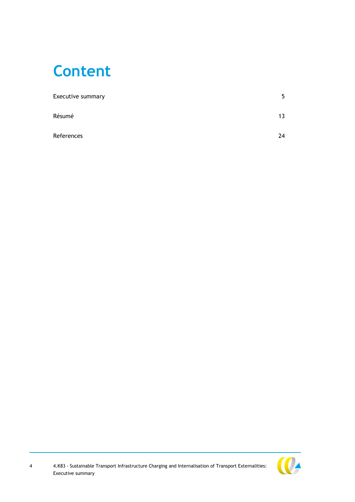# **Content**

| Executive summary | 5  |
|-------------------|----|
| Résumé            | 13 |
| References        | 24 |

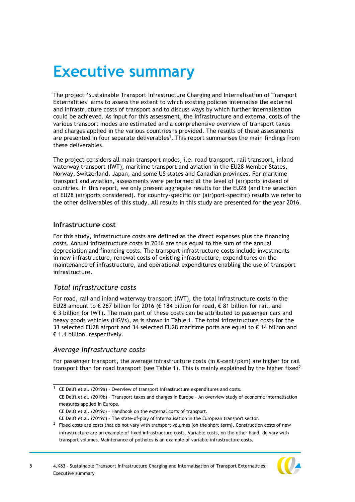# <span id="page-5-0"></span>**Executive summary**

The project 'Sustainable Transport Infrastructure Charging and Internalisation of Transport Externalities' aims to assess the extent to which existing policies internalise the external and infrastructure costs of transport and to discuss ways by which further internalisation could be achieved. As input for this assessment, the infrastructure and external costs of the various transport modes are estimated and a comprehensive overview of transport taxes and charges applied in the various countries is provided. The results of these assessments are presented in four separate deliverables<sup>1</sup>. This report summarises the main findings from these deliverables.

The project considers all main transport modes, i.e. road transport, rail transport, inland waterway transport (IWT), maritime transport and aviation in the EU28 Member States, Norway, Switzerland, Japan, and some US states and Canadian provinces. For maritime transport and aviation, assessments were performed at the level of (air)ports instead of countries. In this report, we only present aggregate results for the EU28 (and the selection of EU28 (air)ports considered). For country-specific (or (air)port-specific) results we refer to the other deliverables of this study. All results in this study are presented for the year 2016.

## **Infrastructure cost**

For this study, infrastructure costs are defined as the direct expenses plus the financing costs. Annual infrastructure costs in 2016 are thus equal to the sum of the annual depreciation and financing costs. The transport infrastructure costs include investments in new infrastructure, renewal costs of existing infrastructure, expenditures on the maintenance of infrastructure, and operational expenditures enabling the use of transport infrastructure.

## *Total infrastructure costs*

For road, rail and inland waterway transport (IWT), the total infrastructure costs in the EU28 amount to € 267 billion for 2016 (€ 184 billion for road, € 81 billion for rail, and € 3 billion for IWT). The main part of these costs can be attributed to passenger cars and heavy goods vehicles (HGVs), as is shown in [Table 1.](#page-6-0) The total infrastructure costs for the 33 selected EU28 airport and 34 selected EU28 maritime ports are equal to € 14 billion and  $\epsilon$  1.4 billion, respectively.

## *Average infrastructure costs*

\_\_\_\_\_\_\_\_\_\_\_\_\_\_\_\_\_\_\_\_\_\_\_\_\_\_\_\_\_\_\_\_

For passenger transport, the average infrastructure costs (in €-cent/pkm) are higher for rail transport than for road transport (see [Table 1\)](#page-6-0). This is mainly explained by the higher fixed<sup>2</sup>

CE Delft et al. (2019b) – Transport taxes and charges in Europe – An overview study of economic internalisation measures applied in Europe.

 $1$  CE Delft et al. (2019a) - Overview of transport infrastructure expenditures and costs.

CE Delft et al. (2019c) – Handbook on the external costs of transport.

CE Delft et al. (2019d) – The state-of-play of internalisation in the European transport sector.

 $2$  Fixed costs are costs that do not vary with transport volumes (on the short term). Construction costs of new infrastructure are an example of fixed infrastructure costs. Variable costs, on the other hand, do vary with transport volumes. Maintenance of potholes is an example of variable infrastructure costs.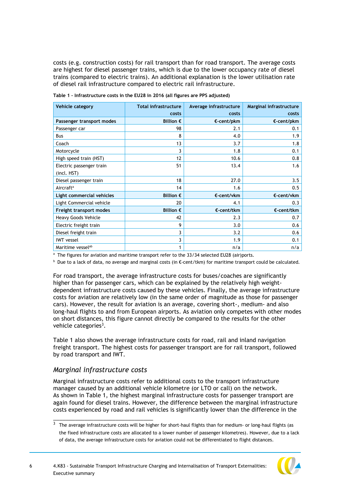costs (e.g. construction costs) for rail transport than for road transport. The average costs are highest for diesel passenger trains, which is due to the lower occupancy rate of diesel trains (compared to electric trains). An additional explanation is the lower utilisation rate of diesel rail infrastructure compared to electric rail infrastructure.

**Vehicle category Total infrastructure costs Average infrastructure costs Marginal infrastructure costs Passenger transport modes Billion € €-cent/pkm €-cent/pkm** Passenger car 98 2.1 0.1 Bus 8 and  $\begin{array}{ccc} 8 & 8 & 4.0 & 4.0 & 1.9 \end{array}$ Coach and the contract of the contract of the contract of the contract of the contract of the contract of the contract of the contract of the contract of the contract of the contract of the contract of the contract of the Motorcycle 3 1.8 0.1 High speed train (HST)  $12$  10.6  $10.6$  0.8 Electric passenger train (incl. HST)  $\begin{array}{|c|c|c|c|c|}\n\hline\n\text{51} & \text{13.4} & \text{1.6}\n\end{array}$ Diesel passenger train 18 18 27.0 27.0 3.5 Aircraft<sup>a</sup> and the contract of the contract of the contract of the contract of the contract of the contract of the contract of the contract of the contract of the contract of the contract of the contract of the contract **Light commercial vehicles Billion € €-cent/vkm €-cent/vkm** Light Commercial vehicle  $\begin{array}{|c|c|c|c|c|c|c|c|c|c|c|} \hline \end{array}$  20  $\begin{array}{|c|c|c|c|c|c|} \hline \end{array}$  4.1  $\begin{array}{|c|c|c|c|c|c|c|c|c|} \hline \end{array}$  0.3 **Freight transport modes Billion € €-cent/tkm €-cent/tkm** Heavy Goods Vehicle 2.3 and 2.3 and 2.3 and 2.3 and 2.3 and 2.3 and 2.3 and 2.3 and 2.3 and 2.3 and 2.7 and 2.7 and 2.7 and 2.7 and 2.7 and 2.7 and 2.7 and 2.7 and 2.7 and 2.7 and 2.7 and 2.7 and 2.7 and 2.7 and 2.7 and 2. Electric freight train and the set of the set of the set of the set of the set of the set of the set of the set of the set of the set of the set of the set of the set of the set of the set of the set of the set of the set Diesel freight train and the set of the set of the set of the set of the set of the set of the set of the set of the set of the set of the set of the set of the set of the set of the set of the set of the set of the set of IWT vessel 3 | 1.9 | 0.1 Maritime vesselab 1 n/a n/a

<span id="page-6-0"></span>**Table 1 – Infrastructure costs in the EU28 in 2016 (all figures are PPS adjusted)** 

<sup>a</sup> The figures for aviation and maritime transport refer to the 33/34 selected EU28 (air)ports.

**b** Due to a lack of data, no average and marginal costs (in €-cent/tkm) for maritime transport could be calculated.

For road transport, the average infrastructure costs for buses/coaches are significantly higher than for passenger cars, which can be explained by the relatively high weightdependent infrastructure costs caused by these vehicles. Finally, the average infrastructure costs for aviation are relatively low (in the same order of magnitude as those for passenger cars). However, the result for aviation is an average, covering short-, medium- and also long-haul flights to and from European airports. As aviation only competes with other modes on short distances, this figure cannot directly be compared to the results for the other vehicle categories<sup>3</sup>.

[Table 1](#page-6-0) also shows the average infrastructure costs for road, rail and inland navigation freight transport. The highest costs for passenger transport are for rail transport, followed by road transport and IWT.

## *Marginal infrastructure costs*

\_\_\_\_\_\_\_\_\_\_\_\_\_\_\_\_\_\_\_\_\_\_\_\_\_\_\_\_\_\_\_\_

Marginal infrastructure costs refer to additional costs to the transport infrastructure manager caused by an additional vehicle kilometre (or LTO or call) on the network. As shown in [Table 1,](#page-6-0) the highest marginal infrastructure costs for passenger transport are again found for diesel trains. However, the difference between the marginal infrastructure costs experienced by road and rail vehicles is significantly lower than the difference in the

 $3$  The average infrastructure costs will be higher for short-haul flights than for medium- or long-haul flights (as the fixed infrastructure costs are allocated to a lower number of passenger kilometres). However, due to a lack of data, the average infrastructure costs for aviation could not be differentiated to flight distances.

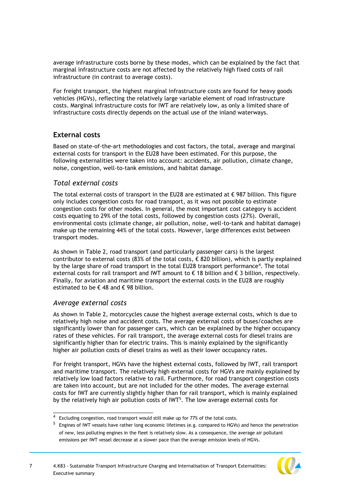average infrastructure costs borne by these modes, which can be explained by the fact that marginal infrastructure costs are not affected by the relatively high fixed costs of rail infrastructure (in contrast to average costs).

For freight transport, the highest marginal infrastructure costs are found for heavy goods vehicles (HGVs), reflecting the relatively large variable element of road infrastructure costs. Marginal infrastructure costs for IWT are relatively low, as only a limited share of infrastructure costs directly depends on the actual use of the inland waterways.

# **External costs**

Based on state-of-the-art methodologies and cost factors, the total, average and marginal external costs for transport in the EU28 have been estimated. For this purpose, the following externalities were taken into account: accidents, air pollution, climate change, noise, congestion, well-to-tank emissions, and habitat damage.

## *Total external costs*

The total external costs of transport in the EU28 are estimated at  $\epsilon$  987 billion. This figure only includes congestion costs for road transport, as it was not possible to estimate congestion costs for other modes. In general, the most important cost category is accident costs equating to 29% of the total costs, followed by congestion costs (27%). Overall, environmental costs (climate change, air pollution, noise, well-to-tank and habitat damage) make up the remaining 44% of the total costs. However, large differences exist between transport modes.

As shown in [Table 2,](#page-8-0) road transport (and particularly passenger cars) is the largest contributor to external costs (83% of the total costs,  $\epsilon$  820 billion), which is partly explained by the large share of road transport in the total EU28 transport performance<sup>4</sup>. The total external costs for rail transport and IWT amount to € 18 billion and € 3 billion, respectively. Finally, for aviation and maritime transport the external costs in the EU28 are roughly estimated to be  $\epsilon$  48 and  $\epsilon$  98 billion.

## *Average external costs*

\_\_\_\_\_\_\_\_\_\_\_\_\_\_\_\_\_\_\_\_\_\_\_\_\_\_\_\_\_\_\_\_

As shown in [Table 2,](#page-8-0) motorcycles cause the highest average external costs, which is due to relatively high noise and accident costs. The average external costs of buses/coaches are significantly lower than for passenger cars, which can be explained by the higher occupancy rates of these vehicles. For rail transport, the average external costs for diesel trains are significantly higher than for electric trains. This is mainly explained by the significantly higher air pollution costs of diesel trains as well as their lower occupancy rates.

For freight transport, HGVs have the highest external costs, followed by IWT, rail transport and maritime transport. The relatively high external costs for HGVs are mainly explained by relatively low load factors relative to rail. Furthermore, for road transport congestion costs are taken into account, but are not included for the other modes. The average external costs for IWT are currently slightly higher than for rail transport, which is mainly explained by the relatively high air pollution costs of IWT<sup>5</sup>. The low average external costs for

<sup>&</sup>lt;sup>5</sup> Engines of IWT vessels have rather long economic lifetimes (e.g. compared to HGVs) and hence the penetration of new, less polluting engines in the fleet is relatively slow. As a consequence, the average air pollutant emissions per IWT vessel decrease at a slower pace than the average emission levels of HGVs.



<sup>&</sup>lt;sup>4</sup> Excluding congestion, road transport would still make up for 77% of the total costs.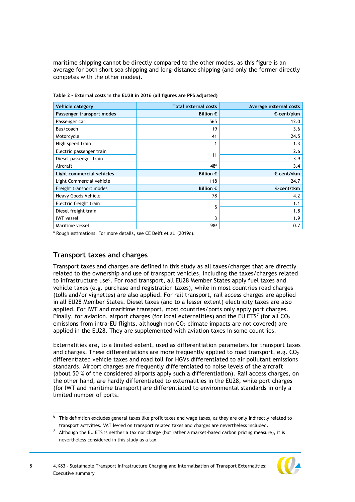maritime shipping cannot be directly compared to the other modes, as this figure is an average for both short sea shipping and long-distance shipping (and only the former directly competes with the other modes).

| Vehicle category          | <b>Total external costs</b> | Average external costs |
|---------------------------|-----------------------------|------------------------|
| Passenger transport modes | Billion $\epsilon$          | $\epsilon$ -cent/pkm   |
| Passenger car             | 565                         | 12.0                   |
| Bus/coach                 | 19                          | 3.6                    |
| Motorcycle                | 41                          | 24.5                   |
| High speed train          | 1                           | 1.3                    |
| Electric passenger train  |                             | 2.6                    |
| Diesel passenger train    | 11                          | 3.9                    |
| Aircraft                  | 48 <sup>a</sup>             | 3.4                    |
| Light commercial vehicles | Billion $\epsilon$          | €-cent/vkm             |
| Light Commercial vehicle  | 118                         | 24.7                   |
| Freight transport modes   | Billion $\epsilon$          | $\epsilon$ -cent/tkm   |
| Heavy Goods Vehicle       | 78                          | 4.2                    |
| Electric freight train    | 5                           | 1.1                    |
| Diesel freight train      |                             | 1.8                    |
| <b>IWT</b> vessel         | 3                           | 1.9                    |
| Maritime vessel           | 98 <sup>a</sup>             | 0.7                    |

<span id="page-8-0"></span>**Table 2 - External costs in the EU28 in 2016 (all figures are PPS adjusted)** 

<sup>a</sup> Rough estimations. For more details, see CE Delft et al. (2019c).

## **Transport taxes and charges**

\_\_\_\_\_\_\_\_\_\_\_\_\_\_\_\_\_\_\_\_\_\_\_\_\_\_\_\_\_\_\_\_

Transport taxes and charges are defined in this study as all taxes/charges that are directly related to the ownership and use of transport vehicles, including the taxes/charges related to infrastructure use<sup>6</sup>. For road transport, all EU28 Member States apply fuel taxes and vehicle taxes (e.g. purchase and registration taxes), while in most countries road charges (tolls and/or vignettes) are also applied. For rail transport, rail access charges are applied in all EU28 Member States. Diesel taxes (and to a lesser extent) electricity taxes are also applied. For IWT and maritime transport, most countries/ports only apply port charges. Finally, for aviation, airport charges (for local externalities) and the EU ETS<sup>7</sup> (for all CO<sub>2</sub> emissions from intra-EU flights, although non- $CO<sub>2</sub>$  climate impacts are not covered) are applied in the EU28. They are supplemented with aviation taxes in some countries.

Externalities are, to a limited extent, used as differentiation parameters for transport taxes and charges. These differentiations are more frequently applied to road transport, e.g.  $CO<sub>2</sub>$ differentiated vehicle taxes and road toll for HGVs differentiated to air pollutant emissions standards. Airport charges are frequently differentiated to noise levels of the aircraft (about 50 % of the considered airports apply such a differentiation). Rail access charges, on the other hand, are hardly differentiated to externalities in the EU28, while port charges (for IWT and maritime transport) are differentiated to environmental standards in only a limited number of ports.

 $7$  Although the EU ETS is neither a tax nor charge (but rather a market-based carbon pricing measure), it is nevertheless considered in this study as a tax.



 $\overline{6}$  This definition excludes general taxes like profit taxes and wage taxes, as they are only indirectly related to transport activities. VAT levied on transport related taxes and charges are nevertheless included.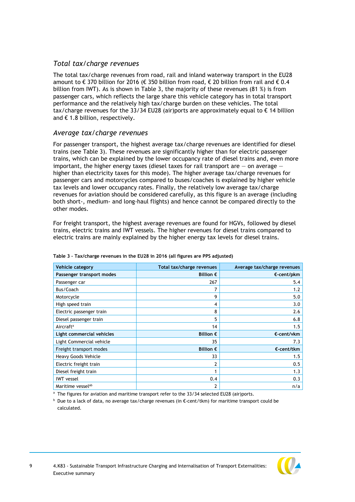# *Total tax/charge revenues*

The total tax/charge revenues from road, rail and inland waterway transport in the EU28 amount to  $\epsilon$  370 billion for 2016 ( $\epsilon$  350 billion from road,  $\epsilon$  20 billion from rail and  $\epsilon$  0.4 billion from IWT). As is shown in [Table 3,](#page-9-0) the majority of these revenues (81 %) is from passenger cars, which reflects the large share this vehicle category has in total transport performance and the relatively high tax/charge burden on these vehicles. The total tax/charge revenues for the 33/34 EU28 (air)ports are approximately equal to € 14 billion and € 1.8 billion, respectively.

# *Average tax/charge revenues*

For passenger transport, the highest average tax/charge revenues are identified for diesel trains (see [Table 3\)](#page-9-0). These revenues are significantly higher than for electric passenger trains, which can be explained by the lower occupancy rate of diesel trains and, even more important, the higher energy taxes (diesel taxes for rail transport are  $-$  on average  $$ higher than electricity taxes for this mode). The higher average tax/charge revenues for passenger cars and motorcycles compared to buses/coaches is explained by higher vehicle tax levels and lower occupancy rates. Finally, the relatively low average tax/charge revenues for aviation should be considered carefully, as this figure is an average (including both short-, medium- and long-haul flights) and hence cannot be compared directly to the other modes.

For freight transport, the highest average revenues are found for HGVs, followed by diesel trains, electric trains and IWT vessels. The higher revenues for diesel trains compared to electric trains are mainly explained by the higher energy tax levels for diesel trains.

| Vehicle category              | Total tax/charge revenues | Average tax/charge revenues |
|-------------------------------|---------------------------|-----------------------------|
| Passenger transport modes     | Billion $\epsilon$        | $\epsilon$ -cent/pkm        |
| Passenger car                 | 267                       | 5.4                         |
| Bus/Coach                     |                           | 1.2                         |
| Motorcycle                    | 9                         | 5.0                         |
| High speed train              | 4                         | 3.0                         |
| Electric passenger train      | 8                         | 2.6                         |
| Diesel passenger train        | 5                         | 6.8                         |
| Aircraft <sup>a</sup>         | 14                        | 1.5                         |
| Light commercial vehicles     | Billion $\epsilon$        | €-cent/vkm                  |
| Light Commercial vehicle      | 35                        | 7.3                         |
| Freight transport modes       | Billion $\epsilon$        | $\epsilon$ -cent/tkm        |
| Heavy Goods Vehicle           | 33                        | 1.5                         |
| Electric freight train        | 2                         | 0.5                         |
| Diesel freight train          |                           | 1.3                         |
| <b>IWT</b> vessel             | 0.4                       | 0.3                         |
| Maritime vessel <sup>ab</sup> | $\overline{2}$            | n/a                         |

#### <span id="page-9-0"></span>**Table 3 – Tax/charge revenues in the EU28 in 2016 (all figures are PPS adjusted)**

<sup>a</sup> The figures for aviation and maritime transport refer to the 33/34 selected EU28 (air)ports.

<sup>b</sup> Due to a lack of data, no average tax/charge revenues (in €-cent/tkm) for maritime transport could be calculated.

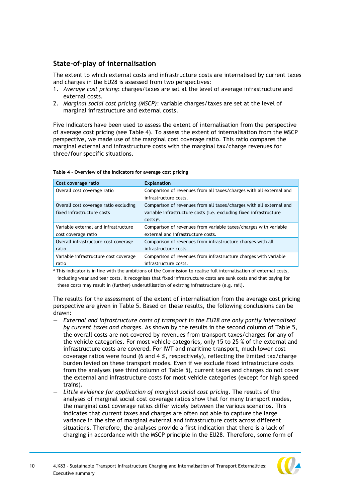# **State-of-play of internalisation**

The extent to which external costs and infrastructure costs are internalised by current taxes and charges in the EU28 is assessed from two perspectives:

- 1. *Average cost pricing*: charges/taxes are set at the level of average infrastructure and external costs.
- 2. *Marginal social cost pricing (MSCP)*: variable charges/taxes are set at the level of marginal infrastructure and external costs.

Five indicators have been used to assess the extent of internalisation from the perspective of average cost pricing (see [Table 4\)](#page-10-0). To assess the extent of internalisation from the MSCP perspective, we made use of the marginal cost coverage ratio. This ratio compares the marginal external and infrastructure costs with the marginal tax/charge revenues for three/four specific situations.

| Cost coverage ratio                   | <b>Explanation</b>                                                  |
|---------------------------------------|---------------------------------------------------------------------|
| Overall cost coverage ratio           | Comparison of revenues from all taxes/charges with all external and |
|                                       | infrastructure costs.                                               |
| Overall cost coverage ratio excluding | Comparison of revenues from all taxes/charges with all external and |
| fixed infrastructure costs            | variable infrastructure costs (i.e. excluding fixed infrastructure  |
|                                       | $costs)^a$ .                                                        |
| Variable external and infrastructure  | Comparison of revenues from variable taxes/charges with variable    |
| cost coverage ratio                   | external and infrastructure costs.                                  |
| Overall infrastructure cost coverage  | Comparison of revenues from infrastructure charges with all         |
| ratio                                 | infrastructure costs.                                               |
| Variable infrastructure cost coverage | Comparison of revenues from infrastructure charges with variable    |
| ratio                                 | infrastructure costs.                                               |

#### <span id="page-10-0"></span>**Table 4 - Overview of the indicators for average cost pricing**

a This indicator is in line with the ambitions of the Commission to realise full internalisation of external costs, including wear and tear costs. It recognises that fixed infrastructure costs are sunk costs and that paying for these costs may result in (further) underutilisation of existing infrastructure (e.g. rail).

The results for the assessment of the extent of internalisation from the average cost pricing perspective are given in [Table 5.](#page-11-0) Based on these results, the following conclusions can be drawn:

- *External and infrastructure costs of transport in the EU28 are only partly internalised by current taxes and charges*. As shown by the results in the second column of [Table 5,](#page-11-0) the overall costs are not covered by revenues from transport taxes/charges for any of the vehicle categories. For most vehicle categories, only 15 to 25 % of the external and infrastructure costs are covered. For IWT and maritime transport, much lower cost coverage ratios were found (6 and 4 %, respectively), reflecting the limited tax/charge burden levied on these transport modes. Even if we exclude fixed infrastructure costs from the analyses (see third column of [Table 5\)](#page-11-0), current taxes and charges do not cover the external and infrastructure costs for most vehicle categories (except for high speed trains).
- *— Little evidence for application of marginal social cost pricing.* The results of the analyses of marginal social cost coverage ratios show that for many transport modes, the marginal cost coverage ratios differ widely between the various scenarios. This indicates that current taxes and charges are often not able to capture the large variance in the size of marginal external and infrastructure costs across different situations. Therefore, the analyses provide a first indication that there is a lack of charging in accordance with the MSCP principle in the EU28. Therefore, some form of

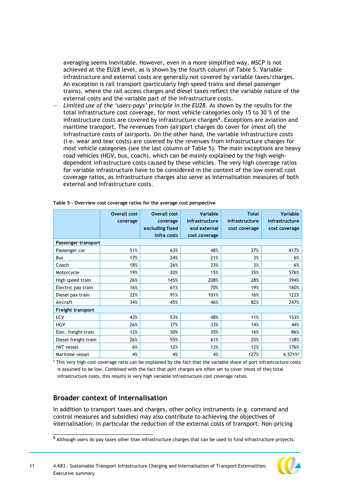averaging seems inevitable. However, even in a more simplified way, MSCP is not achieved at the EU28 level, as is shown by the fourth column of [Table 5.](#page-11-0) Variable infrastructure and external costs are generally not covered by variable taxes/charges. An exception is rail transport (particularly high speed trains and diesel passenger trains), where the rail access charges and diesel taxes reflect the variable nature of the external costs and the variable part of the infrastructure costs.

— *Limited use of the 'users-pays' principle in the EU28*. As shown by the results for the total infrastructure cost coverage, for most vehicle categories only 15 to 30 % of the infrastructure costs are covered by infrastructure charges<sup>8</sup>. Exceptions are aviation and maritime transport. The revenues from (air)port charges do cover for (most of) the infrastructure costs of (air)ports. On the other hand, the variable infrastructure costs (i.e. wear and tear costs) are covered by the revenues from infrastructure charges for most vehicle categories (see the last column of [Table 5\)](#page-11-0). The main exceptions are heavy road vehicles (HGV, bus, coach), which can be mainly explained by the high weighdependent infrastructure costs caused by these vehicles. The very high coverage ratios for variable infrastructure have to be considered in the context of the low overall cost coverage ratios, as infrastructure charges also serve as internalisation measures of both external and infrastructure costs.

|                      | <b>Overall cost</b> | <b>Overall cost</b> | Variable       | <b>Total</b>   | Variable              |
|----------------------|---------------------|---------------------|----------------|----------------|-----------------------|
|                      | coverage            | coverage            | infrastructure | infrastructure | infrastructure        |
|                      |                     | excluding fixed     | and external   | cost coverage  | cost coverage         |
|                      |                     | infra costs         | cost coverage  |                |                       |
| Passenger transport  |                     |                     |                |                |                       |
| Passenger car        | 51%                 | 63%                 | 48%            | 27%            | 417%                  |
| <b>Bus</b>           | 17%                 | 24%                 | 21%            | 3%             | 6%                    |
| Coach                | 18%                 | 26%                 | 23%            | 3%             | 6%                    |
| Motorcycle           | 19%                 | 20%                 | 15%            | 35%            | 576%                  |
| High speed train     | 26%                 | 145%                | 208%           | 28%            | 394%                  |
| Electric pax train   | 16%                 | 61%                 | 70%            | 19%            | 160%                  |
| Diesel pax train     | 22%                 | 91%                 | 101%           | 16%            | 122%                  |
| Aircraft             | 34%                 | 45%                 | 46%            | 82%            | 247%                  |
| Freight transport    |                     |                     |                |                |                       |
| <b>LCV</b>           | 43%                 | 53%                 | 48%            | 11%            | 153%                  |
| <b>HGV</b>           | 26%                 | 37%                 | 33%            | 14%            | 44%                   |
| Elec. freight train  | 12%                 | 30%                 | 35%            | 16%            | 86%                   |
| Diesel freight train | 26%                 | 55%                 | 61%            | 25%            | 138%                  |
| <b>IWT</b> vessel    | 6%                  | 12%                 | 13%            | 12%            | 176%                  |
| Maritime vessel      | 4%                  | 4%                  | 4%             | 127%           | $4,571%$ <sup>a</sup> |

<span id="page-11-0"></span>**Table 5 – Overview cost coverage ratios for the average cost perspective**

a This very high cost coverage ratio can be explained by the fact that the variable share of port infrastructure costs is assumed to be low. Combined with the fact that port charges are often set to cover (most of the) total infrastructure costs, this results in very high variable infrastructure cost coverage ratios.

# **Broader context of internalisation**

\_\_\_\_\_\_\_\_\_\_\_\_\_\_\_\_\_\_\_\_\_\_\_\_\_\_\_\_\_\_\_\_

In addition to transport taxes and charges, other policy instruments (e.g. command and control measures and subsidies) may also contribute to achieving the objectives of internalisation, in particular the reduction of the external costs of transport. Non-pricing



 $8$  Although users do pay taxes other than infrastructure charges that can be used to fund infrastructure projects.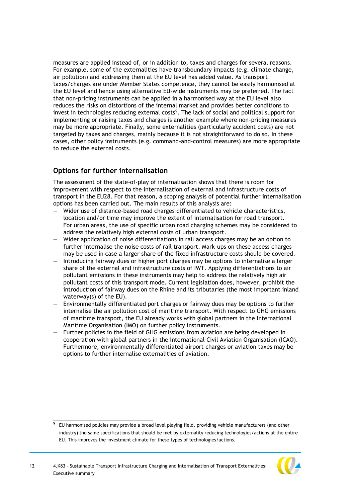measures are applied instead of, or in addition to, taxes and charges for several reasons. For example, some of the externalities have transboundary impacts (e.g. climate change, air pollution) and addressing them at the EU level has added value. As transport taxes/charges are under Member States competence, they cannot be easily harmonised at the EU level and hence using alternative EU-wide instruments may be preferred. The fact that non-pricing instruments can be applied in a harmonised way at the EU level also reduces the risks on distortions of the internal market and provides better conditions to invest in technologies reducing external costs<sup>9</sup>. The lack of social and political support for implementing or raising taxes and charges is another example where non-pricing measures may be more appropriate. Finally, some externalities (particularly accident costs) are not targeted by taxes and charges, mainly because it is not straightforward to do so. In these cases, other policy instruments (e.g. command-and-control measures) are more appropriate to reduce the external costs.

# **Options for further internalisation**

\_\_\_\_\_\_\_\_\_\_\_\_\_\_\_\_\_\_\_\_\_\_\_\_\_\_\_\_\_\_\_\_

The assessment of the state-of-play of internalisation shows that there is room for improvement with respect to the internalisation of external and infrastructure costs of transport in the EU28. For that reason, a scoping analysis of potential further internalisation options has been carried out. The main results of this analysis are:

- Wider use of distance-based road charges differentiated to vehicle characteristics, location and/or time may improve the extent of internalisation for road transport. For urban areas, the use of specific urban road charging schemes may be considered to address the relatively high external costs of urban transport.
- Wider application of noise differentiations in rail access charges may be an option to further internalise the noise costs of rail transport. Mark-ups on these access charges may be used in case a larger share of the fixed infrastructure costs should be covered.
- Introducing fairway dues or higher port charges may be options to internalise a larger share of the external and infrastructure costs of IWT. Applying differentiations to air pollutant emissions in these instruments may help to address the relatively high air pollutant costs of this transport mode. Current legislation does, however, prohibit the introduction of fairway dues on the Rhine and its tributaries (the most important inland waterway(s) of the EU).
- Environmentally differentiated port charges or fairway dues may be options to further internalise the air pollution cost of maritime transport. With respect to GHG emissions of maritime transport, the EU already works with global partners in the International Maritime Organisation (IMO) on further policy instruments.
- Further policies in the field of GHG emissions from aviation are being developed in cooperation with global partners in the International Civil Aviation Organisation (ICAO). Furthermore, environmentally differentiated airport charges or aviation taxes may be options to further internalise externalities of aviation.

<sup>9</sup> EU harmonised policies may provide a broad level playing field, providing vehicle manufacturers (and other industry) the same specifications that should be met by externality reducing technologies/actions at the entire EU. This improves the investment climate for these types of technologies/actions.

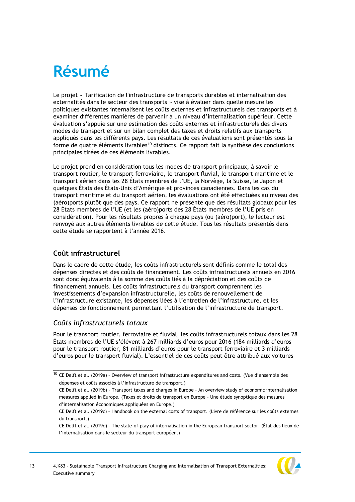# <span id="page-13-0"></span>**Résumé**

Le projet « Tarification de l'infrastructure de transports durables et internalisation des externalités dans le secteur des transports » vise à évaluer dans quelle mesure les politiques existantes internalisent les coûts externes et infrastructurels des transports et à examiner différentes manières de parvenir à un niveau d'internalisation supérieur. Cette évaluation s'appuie sur une estimation des coûts externes et infrastructurels des divers modes de transport et sur un bilan complet des taxes et droits relatifs aux transports appliqués dans les différents pays. Les résultats de ces évaluations sont présentés sous la forme de quatre éléments livrables<sup>10</sup> distincts. Ce rapport fait la synthèse des conclusions principales tirées de ces éléments livrables.

Le projet prend en considération tous les modes de transport principaux, à savoir le transport routier, le transport ferroviaire, le transport fluvial, le transport maritime et le transport aérien dans les 28 États membres de l'UE, la Norvège, la Suisse, le Japon et quelques États des États-Unis d'Amérique et provinces canadiennes. Dans les cas du transport maritime et du transport aérien, les évaluations ont été effectuées au niveau des (aéro)ports plutôt que des pays. Ce rapport ne présente que des résultats globaux pour les 28 États membres de l'UE (et les (aéro)ports des 28 États membres de l'UE pris en considération). Pour les résultats propres à chaque pays (ou (aéro)port), le lecteur est renvoyé aux autres éléments livrables de cette étude. Tous les résultats présentés dans cette étude se rapportent à l'année 2016.

# **Coût infrastructurel**

Dans le cadre de cette étude, les coûts infrastructurels sont définis comme le total des dépenses directes et des coûts de financement. Les coûts infrastructurels annuels en 2016 sont donc équivalents à la somme des coûts liés à la dépréciation et des coûts de financement annuels. Les coûts infrastructurels du transport comprennent les investissements d'expansion infrastructurelle, les coûts de renouvellement de l'infrastructure existante, les dépenses liées à l'entretien de l'infrastructure, et les dépenses de fonctionnement permettant l'utilisation de l'infrastructure de transport.

# *Coûts infrastructurels totaux*

\_\_\_\_\_\_\_\_\_\_\_\_\_\_\_\_\_\_\_\_\_\_\_\_\_\_\_\_\_\_\_\_

Pour le transport routier, ferroviaire et fluvial, les coûts infrastructurels totaux dans les 28 États membres de l'UE s'élèvent à 267 milliards d'euros pour 2016 (184 milliards d'euros pour le transport routier, 81 milliards d'euros pour le transport ferroviaire et 3 milliards d'euros pour le transport fluvial). L'essentiel de ces coûts peut être attribué aux voitures

CE Delft et al. (2019d) – The state-of-play of internalisation in the European transport sector. (État des lieux de l'internalisation dans le secteur du transport européen.)



<sup>&</sup>lt;sup>10</sup> CE Delft et al. (2019a) - Overview of transport infrastructure expenditures and costs. (Vue d'ensemble des dépenses et coûts associés à l'infrastructure de transport.)

CE Delft et al. (2019b) – Transport taxes and charges in Europe – An overview study of economic internalisation measures applied in Europe. (Taxes et droits de transport en Europe - Une étude synoptique des mesures d'internalisation économiques appliquées en Europe.)

CE Delft et al. (2019c) – Handbook on the external costs of transport. (Livre de référence sur les coûts externes du transport.)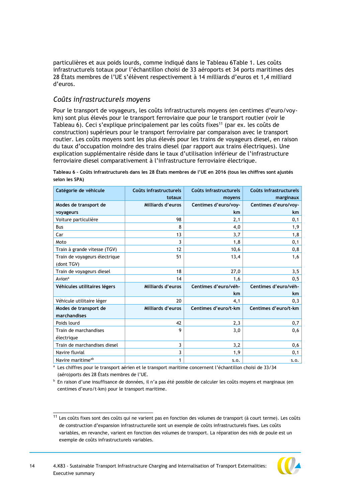particulières et aux poids lourds, comme indiqué dans le Tableau [6Table 1.](#page-6-0) Les coûts infrastructurels totaux pour l'échantillon choisi de 33 aéroports et 34 ports maritimes des 28 États membres de l'UE s'élèvent respectivement à 14 milliards d'euros et 1,4 milliard d'euros.

## *Coûts infrastructurels moyens*

\_\_\_\_\_\_\_\_\_\_\_\_\_\_\_\_\_\_\_\_\_\_\_\_\_\_\_\_\_\_\_\_

Pour le transport de voyageurs, les coûts infrastructurels moyens (en centimes d'euro/voykm) sont plus élevés pour le transport ferroviaire que pour le transport routier (voir le Tableau 6). Ceci s'explique principalement par les coûts fixes<sup>11</sup> (par ex. les coûts de construction) supérieurs pour le transport ferroviaire par comparaison avec le transport routier. Les coûts moyens sont les plus élevés pour les trains de voyageurs diesel, en raison du taux d'occupation moindre des trains diesel (par rapport aux trains électriques). Une explication supplémentaire réside dans le taux d'utilisation inférieur de l'infrastructure ferroviaire diesel comparativement à l'infrastructure ferroviaire électrique.

| Catégorie de véhicule                       | Coûts infrastructurels | Coûts infrastructurels | Coûts infrastructurels |
|---------------------------------------------|------------------------|------------------------|------------------------|
|                                             | totaux                 | moyens                 | marginaux              |
| Modes de transport de                       | Milliards d'euros      | Centimes d'euro/vov-   | Centimes d'euro/voy-   |
| voyageurs                                   |                        | km.                    | km.                    |
| Voiture particulière                        | 98                     | 2,1                    | 0,1                    |
| Bus                                         | 8                      | 4,0                    | 1,9                    |
| Car                                         | 13                     | 3,7                    | 1,8                    |
| Moto                                        | 3                      | 1,8                    | 0,1                    |
| Train à grande vitesse (TGV)                | 12                     | 10,6                   | 0,8                    |
| Train de voyageurs électrique<br>(dont TGV) | 51                     | 13,4                   | 1,6                    |
| Train de voyageurs diesel                   | 18                     | 27,0                   | 3,5                    |
| Avion <sup>a</sup>                          | 14                     | 1,6                    | 0, 5                   |
| Véhicules utilitaires légers                | Milliards d'euros      | Centimes d'euro/véh-   | Centimes d'euro/véh-   |
|                                             |                        | km.                    | km                     |
| Véhicule utilitaire léger                   | 20                     | 4,1                    | 0,3                    |
| Modes de transport de                       | Milliards d'euros      | Centimes d'euro/t-km   | Centimes d'euro/t-km   |
| marchandises                                |                        |                        |                        |
| Poids lourd                                 | 42                     | 2,3                    | 0,7                    |
| Train de marchandises                       | 9                      | 3,0                    | 0,6                    |
| électrique                                  |                        |                        |                        |
| Train de marchandises diesel                | 3                      | 3,2                    | 0,6                    |
| Navire fluvial                              | 3                      | 1,9                    | 0,1                    |
| Navire maritime <sup>ab</sup>               | 1                      | S.O.                   | S.O.                   |

**Tableau 6 – Coûts infrastructurels dans les 28 États membres de l'UE en 2016 (tous les chiffres sont ajustés selon les SPA)** 

<sup>a</sup> Les chiffres pour le transport aérien et le transport maritime concernent l'échantillon choisi de 33/34 (aéro)ports des 28 États membres de l'UE.

<sup>b</sup> En raison d'une insuffisance de données, il n'a pas été possible de calculer les coûts moyens et marginaux (en centimes d'euro/t-km) pour le transport maritime.

 $11$  Les coûts fixes sont des coûts qui ne varient pas en fonction des volumes de transport (à court terme). Les coûts de construction d'expansion infrastructurelle sont un exemple de coûts infrastructurels fixes. Les coûts variables, en revanche, varient en fonction des volumes de transport. La réparation des nids de poule est un exemple de coûts infrastructurels variables.

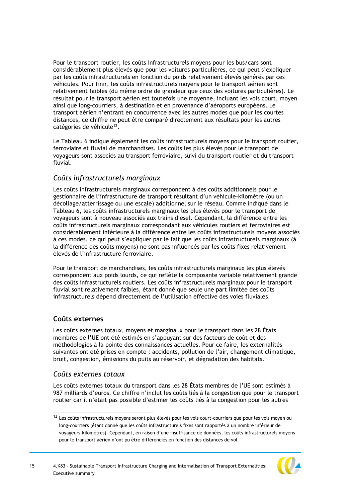Pour le transport routier, les coûts infrastructurels moyens pour les bus/cars sont considérablement plus élevés que pour les voitures particulières, ce qui peut s'expliquer par les coûts infrastructurels en fonction du poids relativement élevés générés par ces véhicules. Pour finir, les coûts infrastructurels moyens pour le transport aérien sont relativement faibles (du même ordre de grandeur que ceux des voitures particulières). Le résultat pour le transport aérien est toutefois une moyenne, incluant les vols court, moyen ainsi que long-courriers, à destination et en provenance d'aéroports européens. Le transport aérien n'entrant en concurrence avec les autres modes que pour les courtes distances, ce chiffre ne peut être comparé directement aux résultats pour les autres catégories de véhicule<sup>12</sup>.

Le Tableau 6 indique également les coûts infrastructurels moyens pour le transport routier, ferroviaire et fluvial de marchandises. Les coûts les plus élevés pour le transport de voyageurs sont associés au transport ferroviaire, suivi du transport routier et du transport fluvial.

# *Coûts infrastructurels marginaux*

Les coûts infrastructurels marginaux correspondent à des coûts additionnels pour le gestionnaire de l'infrastructure de transport résultant d'un véhicule-kilomètre (ou un décollage/atterrissage ou une escale) additionnel sur le réseau. Comme indiqué dans le Tableau 6, les coûts infrastructurels marginaux les plus élevés pour le transport de voyageurs sont à nouveau associés aux trains diesel. Cependant, la différence entre les coûts infrastructurels marginaux correspondant aux véhicules routiers et ferroviaires est considérablement inférieure à la différence entre les coûts infrastructurels moyens associés à ces modes, ce qui peut s'expliquer par le fait que les coûts infrastructurels marginaux (à la différence des coûts moyens) ne sont pas influencés par les coûts fixes relativement élevés de l'infrastructure ferroviaire.

Pour le transport de marchandises, les coûts infrastructurels marginaux les plus élevés correspondent aux poids lourds, ce qui reflète la composante variable relativement grande des coûts infrastructurels routiers. Les coûts infrastructurels marginaux pour le transport fluvial sont relativement faibles, étant donné que seule une part limitée des coûts infrastructurels dépend directement de l'utilisation effective des voies fluviales.

# **Coûts externes**

Les coûts externes totaux, moyens et marginaux pour le transport dans les 28 États membres de l'UE ont été estimés en s'appuyant sur des facteurs de coût et des méthodologies à la pointe des connaissances actuelles. Pour ce faire, les externalités suivantes ont été prises en compte : accidents, pollution de l'air, changement climatique, bruit, congestion, émissions du puits au réservoir, et dégradation des habitats.

## *Coûts externes totaux*

\_\_\_\_\_\_\_\_\_\_\_\_\_\_\_\_\_\_\_\_\_\_\_\_\_\_\_\_\_\_\_\_

Les coûts externes totaux du transport dans les 28 États membres de l'UE sont estimés à 987 milliards d'euros. Ce chiffre n'inclut les coûts liés à la congestion que pour le transport routier car il n'était pas possible d'estimer les coûts liés à la congestion pour les autres

 $12$  Les coûts infrastructurels moyens seront plus élevés pour les vols court-courriers que pour les vols moyen ou long-courriers (étant donné que les coûts infrastructurels fixes sont rapportés à un nombre inférieur de voyageurs-kilomètres). Cependant, en raison d'une insuffisance de données, les coûts infrastructurels moyens pour le transport aérien n'ont pu être différenciés en fonction des distances de vol.

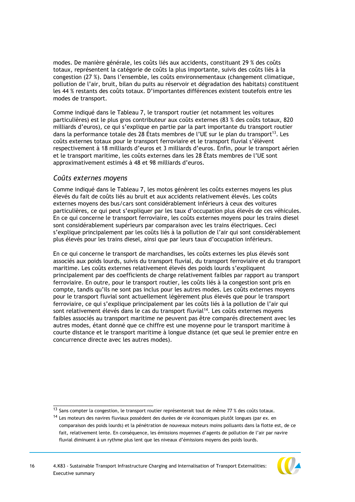modes. De manière générale, les coûts liés aux accidents, constituant 29 % des coûts totaux, représentent la catégorie de coûts la plus importante, suivis des coûts liés à la congestion (27 %). Dans l'ensemble, les coûts environnementaux (changement climatique, pollution de l'air, bruit, bilan du puits au réservoir et dégradation des habitats) constituent les 44 % restants des coûts totaux. D'importantes différences existent toutefois entre les modes de transport.

Comme indiqué dans le Tableau 7, le transport routier (et notamment les voitures particulières) est le plus gros contributeur aux coûts externes (83 % des coûts totaux, 820 milliards d'euros), ce qui s'explique en partie par la part importante du transport routier dans la performance totale des 28 États membres de l'UE sur le plan du transport<sup>13</sup>. Les coûts externes totaux pour le transport ferroviaire et le transport fluvial s'élèvent respectivement à 18 milliards d'euros et 3 milliards d'euros. Enfin, pour le transport aérien et le transport maritime, les coûts externes dans les 28 États membres de l'UE sont approximativement estimés à 48 et 98 milliards d'euros.

### *Coûts externes moyens*

\_\_\_\_\_\_\_\_\_\_\_\_\_\_\_\_\_\_\_\_\_\_\_\_\_\_\_\_\_\_\_\_

Comme indiqué dans le Tableau 7, les motos génèrent les coûts externes moyens les plus élevés du fait de coûts liés au bruit et aux accidents relativement élevés. Les coûts externes moyens des bus/cars sont considérablement inférieurs à ceux des voitures particulières, ce qui peut s'expliquer par les taux d'occupation plus élevés de ces véhicules. En ce qui concerne le transport ferroviaire, les coûts externes moyens pour les trains diesel sont considérablement supérieurs par comparaison avec les trains électriques. Ceci s'explique principalement par les coûts liés à la pollution de l'air qui sont considérablement plus élevés pour les trains diesel, ainsi que par leurs taux d'occupation inférieurs.

En ce qui concerne le transport de marchandises, les coûts externes les plus élevés sont associés aux poids lourds, suivis du transport fluvial, du transport ferroviaire et du transport maritime. Les coûts externes relativement élevés des poids lourds s'expliquent principalement par des coefficients de charge relativement faibles par rapport au transport ferroviaire. En outre, pour le transport routier, les coûts liés à la congestion sont pris en compte, tandis qu'ils ne sont pas inclus pour les autres modes. Les coûts externes moyens pour le transport fluvial sont actuellement légèrement plus élevés que pour le transport ferroviaire, ce qui s'explique principalement par les coûts liés à la pollution de l'air qui sont relativement élevés dans le cas du transport fluvial<sup>14</sup>. Les coûts externes moyens faibles associés au transport maritime ne peuvent pas être comparés directement avec les autres modes, étant donné que ce chiffre est une moyenne pour le transport maritime à courte distance et le transport maritime à longue distance (et que seul le premier entre en concurrence directe avec les autres modes).

<sup>&</sup>lt;sup>14</sup> Les moteurs des navires fluviaux possèdent des durées de vie économiques plutôt longues (par ex. en comparaison des poids lourds) et la pénétration de nouveaux moteurs moins polluants dans la flotte est, de ce fait, relativement lente. En conséquence, les émissions moyennes d'agents de pollution de l'air par navire fluvial diminuent à un rythme plus lent que les niveaux d'émissions moyens des poids lourds.



 $^{13}$  Sans compter la congestion, le transport routier représenterait tout de même 77 % des coûts totaux.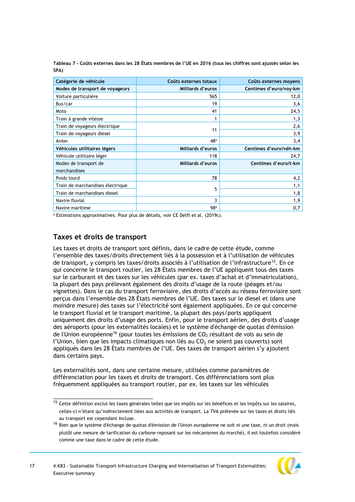**Tableau 7 - Coûts externes dans les 28 États membres de l'UE en 2016 (tous les chiffres sont ajustés selon les SPA)** 

| Catégorie de véhicule            | Coûts externes totaux | Coûts externes moyens  |
|----------------------------------|-----------------------|------------------------|
| Modes de transport de voyageurs  | Milliards d'euros     | Centimes d'euro/voy-km |
| Voiture particulière             | 565                   | 12,0                   |
| Bus/car                          | 19                    | 3,6                    |
| Moto                             | 41                    | 24,5                   |
| Train à grande vitesse           |                       | 1,3                    |
| Train de voyageurs électrique    |                       | 2,6                    |
| Train de voyageurs diesel        | 11                    | 3,9                    |
| Avion                            | 48 <sup>a</sup>       | 3,4                    |
| Véhicules utilitaires légers     | Milliards d'euros     | Centimes d'euro/véh-km |
| Véhicule utilitaire léger        | 118                   | 24,7                   |
| Modes de transport de            | Milliards d'euros     | Centimes d'euro/t-km   |
| marchandises                     |                       |                        |
| Poids lourd                      | 78                    | 4,2                    |
| Train de marchandises électrique |                       | 1,1                    |
| Train de marchandises diesel     | 5                     | 1,8                    |
| Navire fluvial                   | 3                     | 1,9                    |
| Navire maritime                  | 98 <sup>a</sup>       | 0,7                    |

<sup>a</sup> Estimations approximatives. Pour plus de détails, voir CE Delft et al. (2019c).

# **Taxes et droits de transport**

\_\_\_\_\_\_\_\_\_\_\_\_\_\_\_\_\_\_\_\_\_\_\_\_\_\_\_\_\_\_\_\_

Les taxes et droits de transport sont définis, dans le cadre de cette étude, comme l'ensemble des taxes/droits directement liés à la possession et à l'utilisation de véhicules de transport, y compris les taxes/droits associés à l'utilisation de l'infrastructure<sup>15</sup>. En ce qui concerne le transport routier, les 28 États membres de l'UE appliquent tous des taxes sur le carburant et des taxes sur les véhicules (par ex. taxes d'achat et d'immatriculation), la plupart des pays prélevant également des droits d'usage de la route (péages et/ou vignettes). Dans le cas du transport ferroviaire, des droits d'accès au réseau ferroviaire sont perçus dans l'ensemble des 28 États membres de l'UE. Des taxes sur le diesel et (dans une moindre mesure) des taxes sur l'électricité sont également appliquées. En ce qui concerne le transport fluvial et le transport maritime, la plupart des pays/ports appliquent uniquement des droits d'usage des ports. Enfin, pour le transport aérien, des droits d'usage des aéroports (pour les externalités locales) et le système d'échange de quotas d'émission de l'Union européenne<sup>16</sup> (pour toutes les émissions de  $CO<sub>2</sub>$  résultant de vols au sein de l'Union, bien que les impacts climatiques non liés au  $CO<sub>2</sub>$  ne soient pas couverts) sont appliqués dans les 28 États membres de l'UE. Des taxes de transport aérien s'y ajoutent dans certains pays.

Les externalités sont, dans une certaine mesure, utilisées comme paramètres de différenciation pour les taxes et droits de transport. Ces différenciations sont plus fréquemment appliquées au transport routier, par ex. les taxes sur les véhicules

<sup>&</sup>lt;sup>16</sup> Bien que le système d'échange de quotas d'émission de l'Union européenne ne soit ni une taxe, ni un droit (mais plutôt une mesure de tarification du carbone reposant sur les mécanismes du marché), il est toutefois considéré comme une taxe dans le cadre de cette étude.



<sup>&</sup>lt;sup>15</sup> Cette définition exclut les taxes générales telles que les impôts sur les bénéfices et les impôts sur les salaires, celles-ci n'étant qu'indirectement liées aux activités de transport. La TVA prélevée sur les taxes et droits liés au transport est cependant incluse.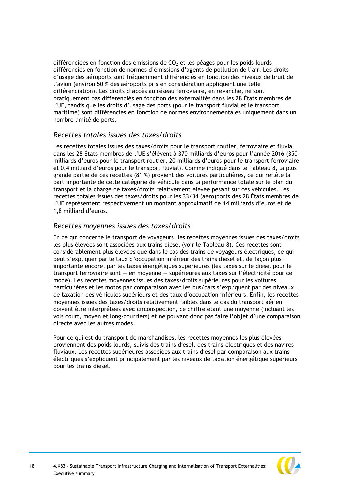différenciées en fonction des émissions de  $CO<sub>2</sub>$  et les péages pour les poids lourds différenciés en fonction de normes d'émissions d'agents de pollution de l'air. Les droits d'usage des aéroports sont fréquemment différenciés en fonction des niveaux de bruit de l'avion (environ 50 % des aéroports pris en considération appliquent une telle différenciation). Les droits d'accès au réseau ferroviaire, en revanche, ne sont pratiquement pas différenciés en fonction des externalités dans les 28 États membres de l'UE, tandis que les droits d'usage des ports (pour le transport fluvial et le transport maritime) sont différenciés en fonction de normes environnementales uniquement dans un nombre limité de ports.

# *Recettes totales issues des taxes/droits*

Les recettes totales issues des taxes/droits pour le transport routier, ferroviaire et fluvial dans les 28 États membres de l'UE s'élèvent à 370 milliards d'euros pour l'année 2016 (350 milliards d'euros pour le transport routier, 20 milliards d'euros pour le transport ferroviaire et 0,4 milliard d'euros pour le transport fluvial). Comme indiqué dans le Tableau 8, la plus grande partie de ces recettes (81 %) provient des voitures particulières, ce qui reflète la part importante de cette catégorie de véhicule dans la performance totale sur le plan du transport et la charge de taxes/droits relativement élevée pesant sur ces véhicules. Les recettes totales issues des taxes/droits pour les 33/34 (aéro)ports des 28 États membres de l'UE représentent respectivement un montant approximatif de 14 milliards d'euros et de 1,8 milliard d'euros.

## *Recettes moyennes issues des taxes/droits*

En ce qui concerne le transport de voyageurs, les recettes moyennes issues des taxes/droits les plus élevées sont associées aux trains diesel (voir le Tableau 8). Ces recettes sont considérablement plus élevées que dans le cas des trains de voyageurs électriques, ce qui peut s'expliquer par le taux d'occupation inférieur des trains diesel et, de façon plus importante encore, par les taxes énergétiques supérieures (les taxes sur le diesel pour le transport ferroviaire sont — en moyenne — supérieures aux taxes sur l'électricité pour ce mode). Les recettes moyennes issues des taxes/droits supérieures pour les voitures particulières et les motos par comparaison avec les bus/cars s'expliquent par des niveaux de taxation des véhicules supérieurs et des taux d'occupation inférieurs. Enfin, les recettes moyennes issues des taxes/droits relativement faibles dans le cas du transport aérien doivent être interprétées avec circonspection, ce chiffre étant une moyenne (incluant les vols court, moyen et long-courriers) et ne pouvant donc pas faire l'objet d'une comparaison directe avec les autres modes.

Pour ce qui est du transport de marchandises, les recettes moyennes les plus élevées proviennent des poids lourds, suivis des trains diesel, des trains électriques et des navires fluviaux. Les recettes supérieures associées aux trains diesel par comparaison aux trains électriques s'expliquent principalement par les niveaux de taxation énergétique supérieurs pour les trains diesel.

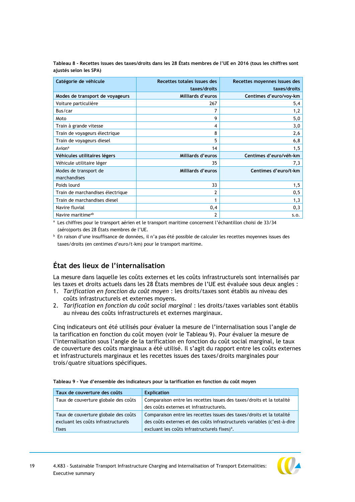**Tableau 8 - Recettes issues des taxes/droits dans les 28 États membres de l'UE en 2016 (tous les chiffres sont ajustés selon les SPA)**

| Catégorie de véhicule            | Recettes totales issues des<br>taxes/droits | Recettes moyennes issues des<br>taxes/droits |
|----------------------------------|---------------------------------------------|----------------------------------------------|
| Modes de transport de voyageurs  | Milliards d'euros                           | Centimes d'euro/voy-km                       |
| Voiture particulière             | 267                                         | 5,4                                          |
| Bus/car                          |                                             | 1,2                                          |
| Moto                             | 9                                           | 5,0                                          |
| Train à grande vitesse           | 4                                           | 3,0                                          |
| Train de voyageurs électrique    | 8                                           | 2,6                                          |
| Train de voyageurs diesel        | 5                                           | 6, 8                                         |
| Avion <sup>a</sup>               | 14                                          | 1,5                                          |
| Véhicules utilitaires légers     | Milliards d'euros                           | Centimes d'euro/véh-km                       |
| Véhicule utilitaire léger        | 35                                          | 7,3                                          |
| Modes de transport de            | Milliards d'euros                           | Centimes d'euro/t-km                         |
| marchandises                     |                                             |                                              |
| Poids lourd                      | 33                                          | 1,5                                          |
| Train de marchandises électrique | 2                                           | 0, 5                                         |
| Train de marchandises diesel     |                                             | 1,3                                          |
| Navire fluvial                   | 0,4                                         | 0,3                                          |
| Navire maritime <sup>ab</sup>    | 2                                           | S.O.                                         |

<sup>a</sup> Les chiffres pour le transport aérien et le transport maritime concernent l'échantillon choisi de 33/34 (aéro)ports des 28 États membres de l'UE.

<sup>b</sup> En raison d'une insuffisance de données, il n'a pas été possible de calculer les recettes moyennes issues des taxes/droits (en centimes d'euro/t-km) pour le transport maritime.

# **État des lieux de l'internalisation**

La mesure dans laquelle les coûts externes et les coûts infrastructurels sont internalisés par les taxes et droits actuels dans les 28 États membres de l'UE est évaluée sous deux angles :

- 1. *Tarification en fonction du coût moyen* : les droits/taxes sont établis au niveau des coûts infrastructurels et externes moyens.
- 2. *Tarification en fonction du coût social marginal* : les droits/taxes variables sont établis au niveau des coûts infrastructurels et externes marginaux.

Cinq indicateurs ont été utilisés pour évaluer la mesure de l'internalisation sous l'angle de la tarification en fonction du coût moyen (voir le Tableau 9). Pour évaluer la mesure de l'internalisation sous l'angle de la tarification en fonction du coût social marginal, le taux de couverture des coûts marginaux a été utilisé. Il s'agit du rapport entre les coûts externes et infrastructurels marginaux et les recettes issues des taxes/droits marginales pour trois/quatre situations spécifiques.

|  |  |  | Tableau 9 - Vue d'ensemble des indicateurs pour la tarification en fonction du coût moyen |  |  |  |
|--|--|--|-------------------------------------------------------------------------------------------|--|--|--|
|  |  |  |                                                                                           |  |  |  |

| Taux de couverture des coûts         | <b>Explication</b>                                                       |
|--------------------------------------|--------------------------------------------------------------------------|
| Taux de couverture globale des coûts | Comparaison entre les recettes issues des taxes/droits et la totalité    |
|                                      | des coûts externes et infrastructurels.                                  |
| Taux de couverture globale des coûts | Comparaison entre les recettes issues des taxes/droits et la totalité    |
| excluant les coûts infrastructurels  | des coûts externes et des coûts infrastructurels variables (c'est-à-dire |
| fixes                                | excluant les coûts infrastructurels fixes) <sup>a</sup> .                |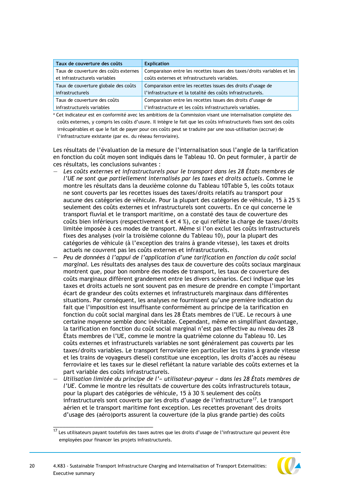| Taux de couverture des coûts          | <b>Explication</b>                                                      |
|---------------------------------------|-------------------------------------------------------------------------|
| Taux de couverture des coûts externes | Comparaison entre les recettes issues des taxes/droits variables et les |
| et infrastructurels variables         | coûts externes et infrastructurels variables.                           |
| Taux de couverture globale des coûts  | Comparaison entre les recettes issues des droits d'usage de             |
| infrastructurels                      | l'infrastructure et la totalité des coûts infrastructurels.             |
| Taux de couverture des coûts          | Comparaison entre les recettes issues des droits d'usage de             |
| infrastructurels variables            | l'infrastructure et les coûts infrastructurels variables.               |

<sup>a</sup> Cet indicateur est en conformité avec les ambitions de la Commission visant une internalisation complète des coûts externes, y compris les coûts d'usure. Il intègre le fait que les coûts infrastructurels fixes sont des coûts irrécupérables et que le fait de payer pour ces coûts peut se traduire par une sous-utilisation (accrue) de l'infrastructure existante (par ex. du réseau ferroviaire).

Les résultats de l'évaluation de la mesure de l'internalisation sous l'angle de la tarification en fonction du coût moyen sont indiqués dans le Tableau 10. On peut formuler, à partir de ces résultats, les conclusions suivantes :

- *Les coûts externes et infrastructurels pour le transport dans les 28 États membres de l'UE ne sont que partiellement internalisés par les taxes et droits actuels*. Comme le montre les résultats dans la deuxième colonne du Tableau 1[0Table 5,](#page-11-0) les coûts totaux ne sont couverts par les recettes issues des taxes/droits relatifs au transport pour aucune des catégories de véhicule. Pour la plupart des catégories de véhicule, 15 à 25 % seulement des coûts externes et infrastructurels sont couverts. En ce qui concerne le transport fluvial et le transport maritime, on a constaté des taux de couverture des coûts bien inférieurs (respectivement 6 et 4 %), ce qui reflète la charge de taxes/droits limitée imposée à ces modes de transport. Même si l'on exclut les coûts infrastructurels fixes des analyses (voir la troisième colonne du Tableau 10), pour la plupart des catégories de véhicule (à l'exception des trains à grande vitesse), les taxes et droits actuels ne couvrent pas les coûts externes et infrastructurels.
- *— Peu de données à l'appui de l'application d'une tarification en fonction du coût social marginal.* Les résultats des analyses des taux de couverture des coûts sociaux marginaux montrent que, pour bon nombre des modes de transport, les taux de couverture des coûts marginaux diffèrent grandement entre les divers scénarios. Ceci indique que les taxes et droits actuels ne sont souvent pas en mesure de prendre en compte l'important écart de grandeur des coûts externes et infrastructurels marginaux dans différentes situations. Par conséquent, les analyses ne fournissent qu'une première indication du fait que l'imposition est insuffisante conformément au principe de la tarification en fonction du coût social marginal dans les 28 États membres de l'UE. Le recours à une certaine moyenne semble donc inévitable. Cependant, même en simplifiant davantage, la tarification en fonction du coût social marginal n'est pas effective au niveau des 28 États membres de l'UE, comme le montre la quatrième colonne du Tableau 10. Les coûts externes et infrastructurels variables ne sont généralement pas couverts par les taxes/droits variables. Le transport ferroviaire (en particulier les trains à grande vitesse et les trains de voyageurs diesel) constitue une exception, les droits d'accès au réseau ferroviaire et les taxes sur le diesel reflétant la nature variable des coûts externes et la part variable des coûts infrastructurels.
- *Utilisation limitée du principe de l'« utilisateur-payeur » dans les 28 États membres de l'UE*. Comme le montre les résultats de couverture des coûts infrastructurels totaux, pour la plupart des catégories de véhicule, 15 à 30 % seulement des coûts infrastructurels sont couverts par les droits d'usage de l'infrastructure<sup>17</sup>. Le transport aérien et le transport maritime font exception. Les recettes provenant des droits d'usage des (aéro)ports assurent la couverture (de la plus grande partie) des coûts

 $17$  Les utilisateurs payant toutefois des taxes autres que les droits d'usage de l'infrastructure qui peuvent être employées pour financer les projets infrastructurels.



\_\_\_\_\_\_\_\_\_\_\_\_\_\_\_\_\_\_\_\_\_\_\_\_\_\_\_\_\_\_\_\_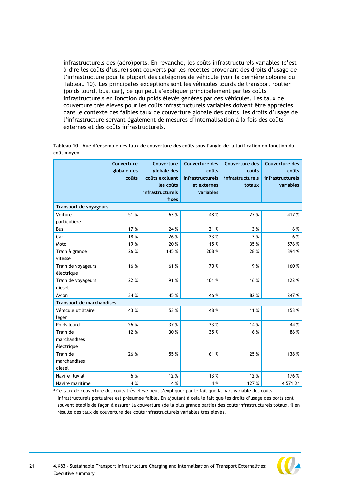infrastructurels des (aéro)ports. En revanche, les coûts infrastructurels variables (c'està-dire les coûts d'usure) sont couverts par les recettes provenant des droits d'usage de l'infrastructure pour la plupart des catégories de véhicule (voir la dernière colonne du Tableau 10). Les principales exceptions sont les véhicules lourds de transport routier (poids lourd, bus, car), ce qui peut s'expliquer principalement par les coûts infrastructurels en fonction du poids élevés générés par ces véhicules. Les taux de couverture très élevés pour les coûts infrastructurels variables doivent être appréciés dans le contexte des faibles taux de couverture globale des coûts, les droits d'usage de l'infrastructure servant également de mesures d'internalisation à la fois des coûts externes et des coûts infrastructurels.

|                                        | Couverture<br>globale des<br>coûts | Couverture<br>globale des<br>coûts excluant<br>les coûts<br>infrastructurels<br>fixes | Couverture des<br>coûts<br><b>infrastructurels</b><br>et externes<br>variables | Couverture des<br>coûts<br><b>infrastructurels</b><br>totaux | Couverture des<br>coûts<br><b>infrastructurels</b><br>variables |
|----------------------------------------|------------------------------------|---------------------------------------------------------------------------------------|--------------------------------------------------------------------------------|--------------------------------------------------------------|-----------------------------------------------------------------|
| Transport de voyageurs                 |                                    |                                                                                       |                                                                                |                                                              |                                                                 |
| Voiture<br>particulière                | 51 %                               | 63 %                                                                                  | 48 %                                                                           | 27 %                                                         | 417 %                                                           |
| Bus                                    | 17 %                               | 24 %                                                                                  | 21 %                                                                           | 3 %                                                          | 6 %                                                             |
| Car                                    | 18%                                | 26 %                                                                                  | 23 %                                                                           | 3%                                                           | 6 %                                                             |
| Moto                                   | 19 %                               | 20 %                                                                                  | 15 %                                                                           | 35 %                                                         | 576 %                                                           |
| Train à grande<br>vitesse              | 26 %                               | 145 %                                                                                 | 208 %                                                                          | 28 %                                                         | 394 %                                                           |
| Train de voyageurs<br>électrique       | 16 %                               | 61%                                                                                   | 70 %                                                                           | 19 %                                                         | 160 %                                                           |
| Train de voyageurs<br>diesel           | 22 %                               | 91%                                                                                   | 101 %                                                                          | 16 %                                                         | 122 %                                                           |
| Avion                                  | 34 %                               | 45 %                                                                                  | 46 %                                                                           | 82 %                                                         | 247 %                                                           |
| Transport de marchandises              |                                    |                                                                                       |                                                                                |                                                              |                                                                 |
| Véhicule utilitaire<br>léger           | 43 %                               | 53 %                                                                                  | 48 %                                                                           | 11 %                                                         | 153 %                                                           |
| Poids lourd                            | 26 %                               | 37 %                                                                                  | 33 %                                                                           | 14 %                                                         | 44 %                                                            |
| Train de<br>marchandises<br>électrique | 12 %                               | 30 %                                                                                  | 35 %                                                                           | 16 %                                                         | 86 %                                                            |
| Train de<br>marchandises<br>diesel     | 26 %                               | 55 %                                                                                  | 61%                                                                            | 25 %                                                         | 138 %                                                           |
| Navire fluvial                         | 6 %                                | 12 %                                                                                  | 13%                                                                            | 12 %                                                         | 176 %                                                           |
| Navire maritime                        | 4 %                                | 4 %                                                                                   | 4 %                                                                            | 127 %                                                        | 4 571 % <sup>a</sup>                                            |

**Tableau 10 – Vue d'ensemble des taux de couverture des coûts sous l'angle de la tarification en fonction du coût moyen**

<sup>a</sup> Ce taux de couverture des coûts très élevé peut s'expliquer par le fait que la part variable des coûts infrastructurels portuaires est présumée faible. En ajoutant à cela le fait que les droits d'usage des ports sont souvent établis de façon à assurer la couverture (de la plus grande partie) des coûts infrastructurels totaux, il en résulte des taux de couverture des coûts infrastructurels variables très élevés.

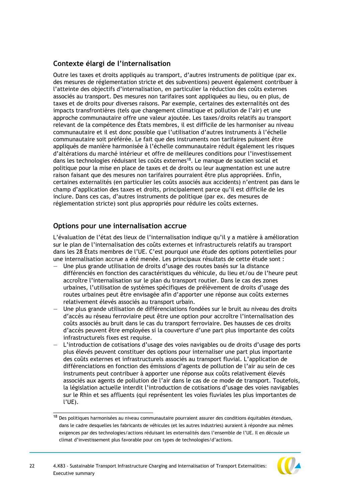# **Contexte élargi de l'internalisation**

Outre les taxes et droits appliqués au transport, d'autres instruments de politique (par ex. des mesures de réglementation stricte et des subventions) peuvent également contribuer à l'atteinte des objectifs d'internalisation, en particulier la réduction des coûts externes associés au transport. Des mesures non tarifaires sont appliquées au lieu, ou en plus, de taxes et de droits pour diverses raisons. Par exemple, certaines des externalités ont des impacts transfrontières (tels que changement climatique et pollution de l'air) et une approche communautaire offre une valeur ajoutée. Les taxes/droits relatifs au transport relevant de la compétence des États membres, il est difficile de les harmoniser au niveau communautaire et il est donc possible que l'utilisation d'autres instruments à l'échelle communautaire soit préférée. Le fait que des instruments non tarifaires puissent être appliqués de manière harmonisée à l'échelle communautaire réduit également les risques d'altérations du marché intérieur et offre de meilleures conditions pour l'investissement dans les technologies réduisant les coûts externes<sup>18</sup>. Le manque de soutien social et politique pour la mise en place de taxes et de droits ou leur augmentation est une autre raison faisant que des mesures non tarifaires pourraient être plus appropriées. Enfin, certaines externalités (en particulier les coûts associés aux accidents) n'entrent pas dans le champ d'application des taxes et droits, principalement parce qu'il est difficile de les inclure. Dans ces cas, d'autres instruments de politique (par ex. des mesures de réglementation stricte) sont plus appropriés pour réduire les coûts externes.

# **Options pour une internalisation accrue**

\_\_\_\_\_\_\_\_\_\_\_\_\_\_\_\_\_\_\_\_\_\_\_\_\_\_\_\_\_\_\_\_

L'évaluation de l'état des lieux de l'internalisation indique qu'il y a matière à amélioration sur le plan de l'internalisation des coûts externes et infrastructurels relatifs au transport dans les 28 États membres de l'UE. C'est pourquoi une étude des options potentielles pour une internalisation accrue a été menée. Les principaux résultats de cette étude sont :

- Une plus grande utilisation de droits d'usage des routes basés sur la distance différenciés en fonction des caractéristiques du véhicule, du lieu et/ou de l'heure peut accroître l'internalisation sur le plan du transport routier. Dans le cas des zones urbaines, l'utilisation de systèmes spécifiques de prélèvement de droits d'usage des routes urbaines peut être envisagée afin d'apporter une réponse aux coûts externes relativement élevés associés au transport urbain.
- Une plus grande utilisation de différenciations fondées sur le bruit au niveau des droits d'accès au réseau ferroviaire peut être une option pour accroître l'internalisation des coûts associés au bruit dans le cas du transport ferroviaire. Des hausses de ces droits d'accès peuvent être employées si la couverture d'une part plus importante des coûts infrastructurels fixes est requise.
- L'introduction de cotisations d'usage des voies navigables ou de droits d'usage des ports plus élevés peuvent constituer des options pour internaliser une part plus importante des coûts externes et infrastructurels associés au transport fluvial. L'application de différenciations en fonction des émissions d'agents de pollution de l'air au sein de ces instruments peut contribuer à apporter une réponse aux coûts relativement élevés associés aux agents de pollution de l'air dans le cas de ce mode de transport. Toutefois, la législation actuelle interdit l'introduction de cotisations d'usage des voies navigables sur le Rhin et ses affluents (qui représentent les voies fluviales les plus importantes de l'UE).

 $18$  Des politiques harmonisées au niveau communautaire pourraient assurer des conditions équitables étendues, dans le cadre desquelles les fabricants de véhicules (et les autres industries) auraient à répondre aux mêmes exigences par des technologies/actions réduisant les externalités dans l'ensemble de l'UE. Il en découle un climat d'investissement plus favorable pour ces types de technologies/d'actions.

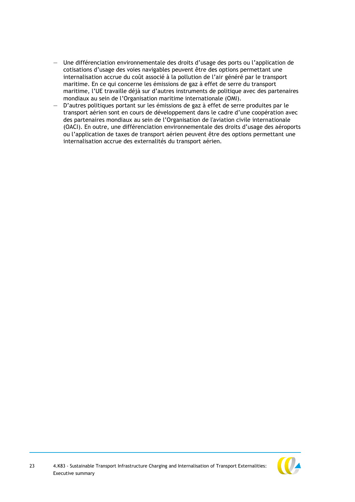- Une différenciation environnementale des droits d'usage des ports ou l'application de cotisations d'usage des voies navigables peuvent être des options permettant une internalisation accrue du coût associé à la pollution de l'air généré par le transport maritime. En ce qui concerne les émissions de gaz à effet de serre du transport maritime, l'UE travaille déjà sur d'autres instruments de politique avec des partenaires mondiaux au sein de l'Organisation maritime internationale (OMI).
- D'autres politiques portant sur les émissions de gaz à effet de serre produites par le transport aérien sont en cours de développement dans le cadre d'une coopération avec des partenaires mondiaux au sein de l'Organisation de l'aviation civile internationale (OACI). En outre, une différenciation environnementale des droits d'usage des aéroports ou l'application de taxes de transport aérien peuvent être des options permettant une internalisation accrue des externalités du transport aérien.

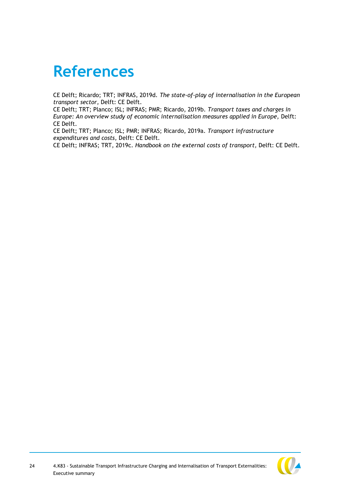# <span id="page-24-0"></span>**References**

CE Delft; Ricardo; TRT; INFRAS, 2019d. *The state-of-play of internalisation in the European transport sector,* Delft: CE Delft.

CE Delft; TRT; Planco; ISL; INFRAS; PMR; Ricardo, 2019b. *Transport taxes and charges in Europe: An overview study of economic internalisation measures applied in Europe, Delft:* CE Delft.

CE Delft; TRT; Planco; ISL; PMR; INFRAS; Ricardo, 2019a. *Transport infrastructure expenditures and costs,* Delft: CE Delft.

CE Delft; INFRAS; TRT, 2019c. *Handbook on the external costs of transport,* Delft: CE Delft.